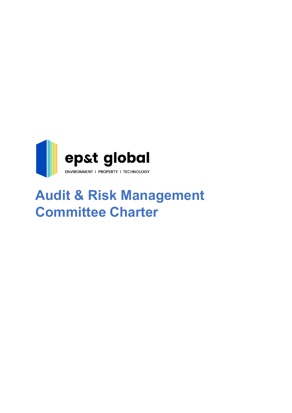

# **Audit & Risk Management Committee Charter**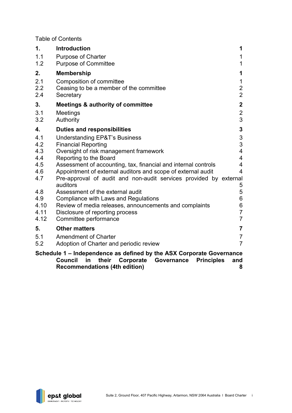Table of Contents

| <b>Introduction</b><br>1.                                                                                                                                    | 1                       |
|--------------------------------------------------------------------------------------------------------------------------------------------------------------|-------------------------|
| 1.1<br><b>Purpose of Charter</b>                                                                                                                             | 1                       |
| 1.2<br><b>Purpose of Committee</b>                                                                                                                           | 1                       |
| 2.<br><b>Membership</b>                                                                                                                                      | 1                       |
| 2.1<br>Composition of committee                                                                                                                              | $\mathbf 1$             |
| 2.2<br>Ceasing to be a member of the committee                                                                                                               | $\frac{2}{2}$           |
| 2.4<br>Secretary                                                                                                                                             |                         |
| 3.<br><b>Meetings &amp; authority of committee</b>                                                                                                           | $\overline{2}$          |
| 3.1<br><b>Meetings</b>                                                                                                                                       | $\overline{\mathbf{c}}$ |
| 3.2<br>Authority                                                                                                                                             | 3                       |
| 4.<br><b>Duties and responsibilities</b>                                                                                                                     | $\mathbf 3$             |
| 4.1<br><b>Understanding EP&amp;T's Business</b>                                                                                                              |                         |
| 4.2<br><b>Financial Reporting</b>                                                                                                                            | $\frac{3}{3}$           |
| 4.3<br>Oversight of risk management framework                                                                                                                | 4                       |
| 4.4<br>Reporting to the Board                                                                                                                                | 4                       |
| 4.5<br>Assessment of accounting, tax, financial and internal controls                                                                                        | 4                       |
| 4.6<br>Appointment of external auditors and scope of external audit                                                                                          | 4                       |
| 4.7<br>Pre-approval of audit and non-audit services provided by external                                                                                     |                         |
| auditors<br>Assessment of the external audit<br>4.8                                                                                                          | 5<br>5                  |
| 4.9<br>Compliance with Laws and Regulations                                                                                                                  | 6                       |
| Review of media releases, announcements and complaints<br>4.10                                                                                               | 6                       |
| 4.11<br>Disclosure of reporting process                                                                                                                      | $\overline{7}$          |
| 4.12<br>Committee performance                                                                                                                                | $\overline{7}$          |
| <b>Other matters</b><br>5.                                                                                                                                   | $\overline{\mathbf{7}}$ |
| 5.1<br><b>Amendment of Charter</b>                                                                                                                           | $\overline{7}$          |
| 5.2<br>Adoption of Charter and periodic review                                                                                                               | $\overline{7}$          |
|                                                                                                                                                              |                         |
| Schedule 1 – Independence as defined by the ASX Corporate Governance<br><b>Council</b><br>their<br>in<br>Corporate<br>Governance<br><b>Principles</b><br>and |                         |

**[Recommendations \(4th edition\)](#page-9-0) 8**

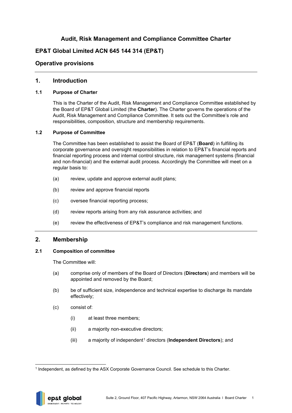## **Audit, Risk Management and Compliance Committee Charter**

# **EP&T Global Limited ACN 645 144 314 (EP&T)**

## **Operative provisions**

## <span id="page-2-0"></span>**1. Introduction**

#### <span id="page-2-1"></span>**1.1 Purpose of Charter**

This is the Charter of the Audit, Risk Management and Compliance Committee established by the Board of EP&T Global Limited (the **Charter**). The Charter governs the operations of the Audit, Risk Management and Compliance Committee. It sets out the Committee's role and responsibilities, composition, structure and membership requirements.

#### <span id="page-2-2"></span>**1.2 Purpose of Committee**

The Committee has been established to assist the Board of EP&T (**Board**) in fulfilling its corporate governance and oversight responsibilities in relation to EP&T's financial reports and financial reporting process and internal control structure, risk management systems (financial and non-financial) and the external audit process. Accordingly the Committee will meet on a regular basis to:

- (a) review, update and approve external audit plans;
- (b) review and approve financial reports
- (c) oversee financial reporting process;
- (d) review reports arising from any risk assurance activities; and
- (e) review the effectiveness of EP&T's compliance and risk management functions.

## <span id="page-2-3"></span>**2. Membership**

#### <span id="page-2-4"></span>**2.1 Composition of committee**

The Committee will:

- (a) comprise only of members of the Board of Directors (**Directors**) and members will be appointed and removed by the Board;
- (b) be of sufficient size, independence and technical expertise to discharge its mandate effectively;
- (c) consist of:
	- (i) at least three members;
	- (ii) a majority non-executive directors;
	- (iii) a majority of independent[1](#page-2-5) directors (**Independent Directors**); and

<span id="page-2-5"></span><sup>1</sup> Independent, as defined by the ASX Corporate Governance Council. See schedule to this Charter.

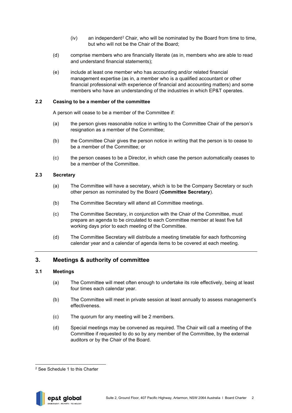- $(iv)$  an independent<sup>[2](#page-3-4)</sup> Chair, who will be nominated by the Board from time to time, but who will not be the Chair of the Board;
- (d) comprise members who are financially literate (as in, members who are able to read and understand financial statements);
- (e) include at least one member who has accounting and/or related financial management expertise (as in, a member who is a qualified accountant or other financial professional with experience of financial and accounting matters) and some members who have an understanding of the industries in which EP&T operates.

#### <span id="page-3-0"></span>**2.2 Ceasing to be a member of the committee**

A person will cease to be a member of the Committee if:

- (a) the person gives reasonable notice in writing to the Committee Chair of the person's resignation as a member of the Committee;
- (b) the Committee Chair gives the person notice in writing that the person is to cease to be a member of the Committee; or
- (c) the person ceases to be a Director, in which case the person automatically ceases to be a member of the Committee.

#### <span id="page-3-1"></span>**2.3 Secretary**

- (a) The Committee will have a secretary, which is to be the Company Secretary or such other person as nominated by the Board (**Committee Secretary**).
- (b) The Committee Secretary will attend all Committee meetings.
- (c) The Committee Secretary, in conjunction with the Chair of the Committee, must prepare an agenda to be circulated to each Committee member at least five full working days prior to each meeting of the Committee.
- (d) The Committee Secretary will distribute a meeting timetable for each forthcoming calendar year and a calendar of agenda items to be covered at each meeting.

## <span id="page-3-2"></span>**3. Meetings & authority of committee**

## <span id="page-3-3"></span>**3.1 Meetings**

- (a) The Committee will meet often enough to undertake its role effectively, being at least four times each calendar year.
- (b) The Committee will meet in private session at least annually to assess management's effectiveness.
- (c) The quorum for any meeting will be 2 members.
- (d) Special meetings may be convened as required. The Chair will call a meeting of the Committee if requested to do so by any member of the Committee, by the external auditors or by the Chair of the Board.

<span id="page-3-4"></span><sup>2</sup> See [Schedule 1](#page-9-0) to this Charter

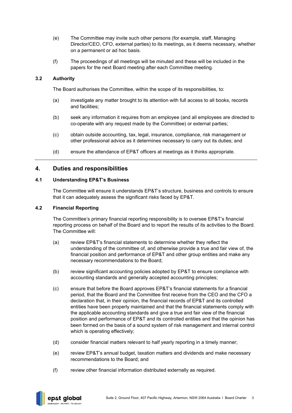- (e) The Committee may invite such other persons (for example, staff, Managing Director/CEO, CFO, external parties) to its meetings, as it deems necessary, whether on a permanent or ad hoc basis.
- (f) The proceedings of all meetings will be minuted and these will be included in the papers for the next Board meeting after each Committee meeting.

#### <span id="page-4-0"></span>**3.2 Authority**

The Board authorises the Committee, within the scope of its responsibilities, to:

- (a) investigate any matter brought to its attention with full access to all books, records and facilities;
- (b) seek any information it requires from an employee (and all employees are directed to co-operate with any request made by the Committee) or external parties;
- (c) obtain outside accounting, tax, legal, insurance, compliance, risk management or other professional advice as it determines necessary to carry out its duties; and
- (d) ensure the attendance of EP&T officers at meetings as it thinks appropriate.

## <span id="page-4-1"></span>**4. Duties and responsibilities**

## <span id="page-4-2"></span>**4.1 Understanding EP&T's Business**

The Committee will ensure it understands EP&T's structure, business and controls to ensure that it can adequately assess the significant risks faced by EP&T.

#### <span id="page-4-3"></span>**4.2 Financial Reporting**

The Committee's primary financial reporting responsibility is to oversee EP&T's financial reporting process on behalf of the Board and to report the results of its activities to the Board. The Committee will:

- (a) review EP&T's financial statements to determine whether they reflect the understanding of the committee of, and otherwise provide a true and fair view of, the financial position and performance of EP&T and other group entities and make any necessary recommendations to the Board;
- (b) review significant accounting policies adopted by EP&T to ensure compliance with accounting standards and generally accepted accounting principles;
- (c) ensure that before the Board approves EP&T's financial statements for a financial period, that the Board and the Committee first receive from the CEO and the CFO a declaration that, in their opinion, the financial records of EP&T and its controlled entities have been properly maintained and that the financial statements comply with the applicable accounting standards and give a true and fair view of the financial position and performance of EP&T and its controlled entities and that the opinion has been formed on the basis of a sound system of risk management and internal control which is operating effectively;
- (d) consider financial matters relevant to half yearly reporting in a timely manner;
- (e) review EP&T's annual budget, taxation matters and dividends and make necessary recommendations to the Board; and
- (f) review other financial information distributed externally as required.

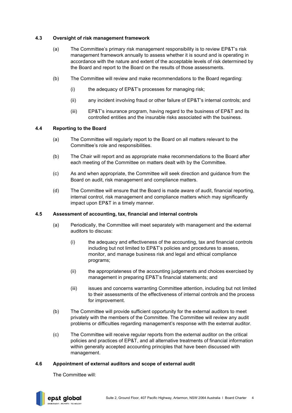## <span id="page-5-0"></span>**4.3 Oversight of risk management framework**

- (a) The Committee's primary risk management responsibility is to review EP&T's risk management framework annually to assess whether it is sound and is operating in accordance with the nature and extent of the acceptable levels of risk determined by the Board and report to the Board on the results of those assessments.
- (b) The Committee will review and make recommendations to the Board regarding:
	- (i) the adequacy of EP&T's processes for managing risk;
	- (ii) any incident involving fraud or other failure of EP&T's internal controls; and
	- (iii) EP&T's insurance program, having regard to the business of EP&T and its controlled entities and the insurable risks associated with the business.

#### <span id="page-5-1"></span>**4.4 Reporting to the Board**

- (a) The Committee will regularly report to the Board on all matters relevant to the Committee's role and responsibilities.
- (b) The Chair will report and as appropriate make recommendations to the Board after each meeting of the Committee on matters dealt with by the Committee.
- (c) As and when appropriate, the Committee will seek direction and guidance from the Board on audit, risk management and compliance matters.
- (d) The Committee will ensure that the Board is made aware of audit, financial reporting, internal control, risk management and compliance matters which may significantly impact upon EP&T in a timely manner.

#### <span id="page-5-2"></span>**4.5 Assessment of accounting, tax, financial and internal controls**

- (a) Periodically, the Committee will meet separately with management and the external auditors to discuss:
	- (i) the adequacy and effectiveness of the accounting, tax and financial controls including but not limited to EP&T's policies and procedures to assess, monitor, and manage business risk and legal and ethical compliance programs;
	- (ii) the appropriateness of the accounting judgements and choices exercised by management in preparing EP&T's financial statements; and
	- (iii) issues and concerns warranting Committee attention, including but not limited to their assessments of the effectiveness of internal controls and the process for improvement.
- (b) The Committee will provide sufficient opportunity for the external auditors to meet privately with the members of the Committee. The Committee will review any audit problems or difficulties regarding management's response with the external auditor.
- (c) The Committee will receive regular reports from the external auditor on the critical policies and practices of EP&T, and all alternative treatments of financial information within generally accepted accounting principles that have been discussed with management.

#### <span id="page-5-3"></span>**4.6 Appointment of external auditors and scope of external audit**

The Committee will:

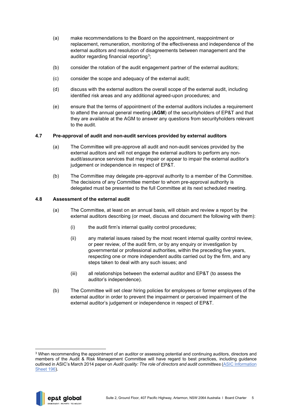- (a) make recommendations to the Board on the appointment, reappointment or replacement, remuneration, monitoring of the effectiveness and independence of the external auditors and resolution of disagreements between management and the auditor regarding financial reporting<sup>[3](#page-6-2)</sup>;
- (b) consider the rotation of the audit engagement partner of the external auditors;
- (c) consider the scope and adequacy of the external audit;
- (d) discuss with the external auditors the overall scope of the external audit, including identified risk areas and any additional agreed-upon procedures; and
- (e) ensure that the terms of appointment of the external auditors includes a requirement to attend the annual general meeting (**AGM**) of the securityholders of EP&T and that they are available at the AGM to answer any questions from securityholders relevant to the audit.

#### <span id="page-6-0"></span>**4.7 Pre-approval of audit and non-audit services provided by external auditors**

- (a) The Committee will pre-approve all audit and non-audit services provided by the external auditors and will not engage the external auditors to perform any nonaudit/assurance services that may impair or appear to impair the external auditor's judgement or independence in respect of EP&T.
- (b) The Committee may delegate pre-approval authority to a member of the Committee. The decisions of any Committee member to whom pre-approval authority is delegated must be presented to the full Committee at its next scheduled meeting.

#### <span id="page-6-1"></span>**4.8 Assessment of the external audit**

- (a) The Committee, at least on an annual basis, will obtain and review a report by the external auditors describing (or meet, discuss and document the following with them):
	- (i) the audit firm's internal quality control procedures;
	- (ii) any material issues raised by the most recent internal quality control review, or peer review, of the audit firm, or by any enquiry or investigation by governmental or professional authorities, within the preceding five years, respecting one or more independent audits carried out by the firm, and any steps taken to deal with any such issues; and
	- (iii) all relationships between the external auditor and EP&T (to assess the auditor's independence).
- (b) The Committee will set clear hiring policies for employees or former employees of the external auditor in order to prevent the impairment or perceived impairment of the external auditor's judgement or independence in respect of EP&T.

<span id="page-6-2"></span><sup>&</sup>lt;sup>3</sup> When recommending the appointment of an auditor or assessing potential and continuing auditors, directors and members of the Audit & Risk Management Committee will have regard to best practices, including guidance outlined in ASIC's March 2014 paper on *Audit quality: The role of directors and audit committees* (ASIC Information Sheet 196).

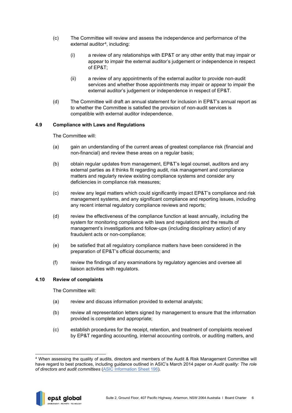- (c) The Committee will review and assess the independence and performance of the external auditor<sup>[4](#page-7-2)</sup>, including:
	- (i) a review of any relationships with EP&T or any other entity that may impair or appear to impair the external auditor's judgement or independence in respect of EP&T;
	- (ii) a review of any appointments of the external auditor to provide non-audit services and whether those appointments may impair or appear to impair the external auditor's judgement or independence in respect of EP&T.
- (d) The Committee will draft an annual statement for inclusion in EP&T's annual report as to whether the Committee is satisfied the provision of non-audit services is compatible with external auditor independence.

#### <span id="page-7-0"></span>**4.9 Compliance with Laws and Regulations**

The Committee will:

- (a) gain an understanding of the current areas of greatest compliance risk (financial and non-financial) and review these areas on a regular basis;
- (b) obtain regular updates from management, EP&T's legal counsel, auditors and any external parties as it thinks fit regarding audit, risk management and compliance matters and regularly review existing compliance systems and consider any deficiencies in compliance risk measures;
- (c) review any legal matters which could significantly impact EP&T's compliance and risk management systems, and any significant compliance and reporting issues, including any recent internal regulatory compliance reviews and reports;
- (d) review the effectiveness of the compliance function at least annually, including the system for monitoring compliance with laws and regulations and the results of management's investigations and follow-ups (including disciplinary action) of any fraudulent acts or non-compliance;
- (e) be satisfied that all regulatory compliance matters have been considered in the preparation of EP&T's official documents; and
- (f) review the findings of any examinations by regulatory agencies and oversee all liaison activities with regulators.

#### <span id="page-7-1"></span>**4.10 Review of complaints**

The Committee will:

- (a) review and discuss information provided to external analysts;
- (b) review all representation letters signed by management to ensure that the information provided is complete and appropriate;
- (c) establish procedures for the receipt, retention, and treatment of complaints received by EP&T regarding accounting, internal accounting controls, or auditing matters, and

<span id="page-7-2"></span><sup>4</sup> When assessing the quality of audits, directors and members of the Audit & Risk Management Committee will have regard to best practices, including guidance outlined in ASIC's March 2014 paper on *Audit quality: The role of directors and audit committees* (ASIC Information Sheet 196).

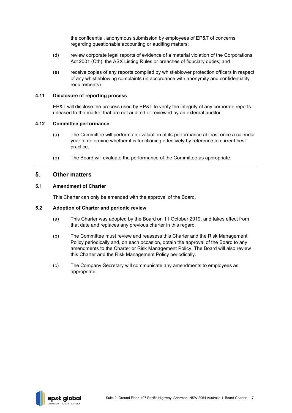the confidential, anonymous submission by employees of EP&T of concerns regarding questionable accounting or auditing matters;

- (d) review corporate legal reports of evidence of a material violation of the Corporations Act 2001 (Cth), the ASX Listing Rules or breaches of fiduciary duties; and
- (e) receive copies of any reports compiled by whistleblower protection officers in respect of any whistleblowing complaints (in accordance with anonymity and confidentiality requirements).

#### <span id="page-8-0"></span>**4.11 Disclosure of reporting process**

EP&T will disclose the process used by EP&T to verify the integrity of any corporate reports released to the market that are not audited or reviewed by an external auditor.

#### <span id="page-8-1"></span>**4.12 Committee performance**

- (a) The Committee will perform an evaluation of its performance at least once a calendar year to determine whether it is functioning effectively by reference to current best practice.
- (b) The Board will evaluate the performance of the Committee as appropriate.

## <span id="page-8-2"></span>**5. Other matters**

#### <span id="page-8-3"></span>**5.1 Amendment of Charter**

This Charter can only be amended with the approval of the Board.

#### <span id="page-8-4"></span>**5.2 Adoption of Charter and periodic review**

- (a) This Charter was adopted by the Board on 11 October 2019, and takes effect from that date and replaces any previous charter in this regard.
- (b) The Committee must review and reassess this Charter and the Risk Management Policy periodically and, on each occasion, obtain the approval of the Board to any amendments to the Charter or Risk Management Policy. The Board will also review this Charter and the Risk Management Policy periodically.
- (c) The Company Secretary will communicate any amendments to employees as appropriate.